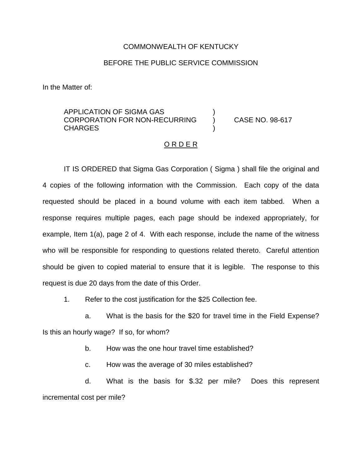## COMMONWEALTH OF KENTUCKY

## BEFORE THE PUBLIC SERVICE COMMISSION

In the Matter of:

## APPLICATION OF SIGMA GAS ) CORPORATION FOR NON-RECURRING ) CASE NO. 98-617 **CHARGES**

## O R D E R

IT IS ORDERED that Sigma Gas Corporation ( Sigma ) shall file the original and 4 copies of the following information with the Commission. Each copy of the data requested should be placed in a bound volume with each item tabbed. When a response requires multiple pages, each page should be indexed appropriately, for example, Item 1(a), page 2 of 4. With each response, include the name of the witness who will be responsible for responding to questions related thereto. Careful attention should be given to copied material to ensure that it is legible. The response to this request is due 20 days from the date of this Order.

1. Refer to the cost justification for the \$25 Collection fee.

a. What is the basis for the \$20 for travel time in the Field Expense? Is this an hourly wage? If so, for whom?

b. How was the one hour travel time established?

c. How was the average of 30 miles established?

d. What is the basis for \$.32 per mile? Does this represent incremental cost per mile?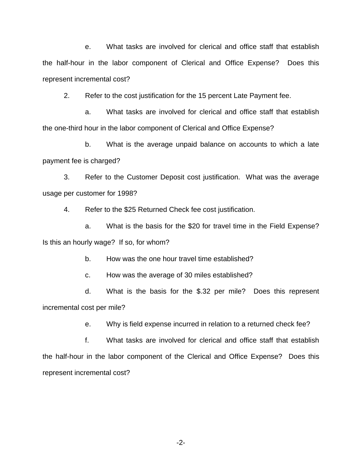e. What tasks are involved for clerical and office staff that establish the half-hour in the labor component of Clerical and Office Expense? Does this represent incremental cost?

2. Refer to the cost justification for the 15 percent Late Payment fee.

a. What tasks are involved for clerical and office staff that establish the one-third hour in the labor component of Clerical and Office Expense?

b. What is the average unpaid balance on accounts to which a late payment fee is charged?

3. Refer to the Customer Deposit cost justification. What was the average usage per customer for 1998?

4. Refer to the \$25 Returned Check fee cost justification.

a. What is the basis for the \$20 for travel time in the Field Expense? Is this an hourly wage? If so, for whom?

b. How was the one hour travel time established?

c. How was the average of 30 miles established?

d. What is the basis for the \$.32 per mile? Does this represent incremental cost per mile?

e. Why is field expense incurred in relation to a returned check fee?

f. What tasks are involved for clerical and office staff that establish the half-hour in the labor component of the Clerical and Office Expense? Does this represent incremental cost?

-2-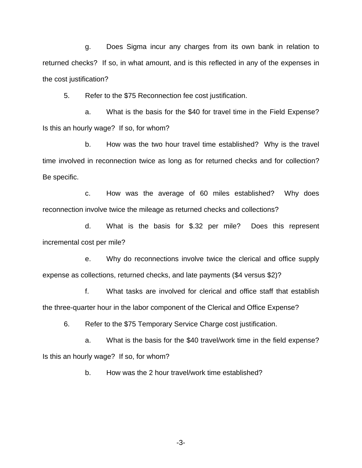g. Does Sigma incur any charges from its own bank in relation to returned checks? If so, in what amount, and is this reflected in any of the expenses in the cost justification?

5. Refer to the \$75 Reconnection fee cost justification.

a. What is the basis for the \$40 for travel time in the Field Expense? Is this an hourly wage? If so, for whom?

b. How was the two hour travel time established? Why is the travel time involved in reconnection twice as long as for returned checks and for collection? Be specific.

c. How was the average of 60 miles established? Why does reconnection involve twice the mileage as returned checks and collections?

d. What is the basis for \$.32 per mile? Does this represent incremental cost per mile?

e. Why do reconnections involve twice the clerical and office supply expense as collections, returned checks, and late payments (\$4 versus \$2)?

f. What tasks are involved for clerical and office staff that establish the three-quarter hour in the labor component of the Clerical and Office Expense?

6. Refer to the \$75 Temporary Service Charge cost justification.

a. What is the basis for the \$40 travel/work time in the field expense? Is this an hourly wage? If so, for whom?

b. How was the 2 hour travel/work time established?

-3-